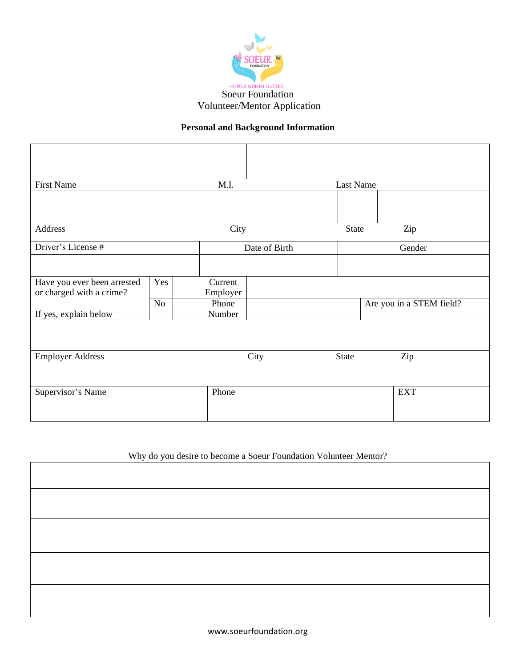

## **Personal and Background Information**

| <b>First Name</b>                                       |                | M.I.                |      |              | Last Name                |  |
|---------------------------------------------------------|----------------|---------------------|------|--------------|--------------------------|--|
|                                                         |                |                     |      |              |                          |  |
| Address                                                 |                | City                |      |              | Zip                      |  |
| Driver's License #                                      |                | Date of Birth       |      | Gender       |                          |  |
|                                                         |                |                     |      |              |                          |  |
| Have you ever been arrested<br>or charged with a crime? | Yes            | Current<br>Employer |      |              |                          |  |
| If yes, explain below                                   | N <sub>o</sub> | Phone<br>Number     |      |              | Are you in a STEM field? |  |
|                                                         |                |                     |      |              |                          |  |
| <b>Employer Address</b>                                 |                |                     | City | <b>State</b> | Zip                      |  |
|                                                         |                |                     |      |              |                          |  |
| Supervisor's Name                                       |                | Phone               |      |              | <b>EXT</b>               |  |
|                                                         |                |                     |      |              |                          |  |

## Why do you desire to become a Soeur Foundation Volunteer Mentor?